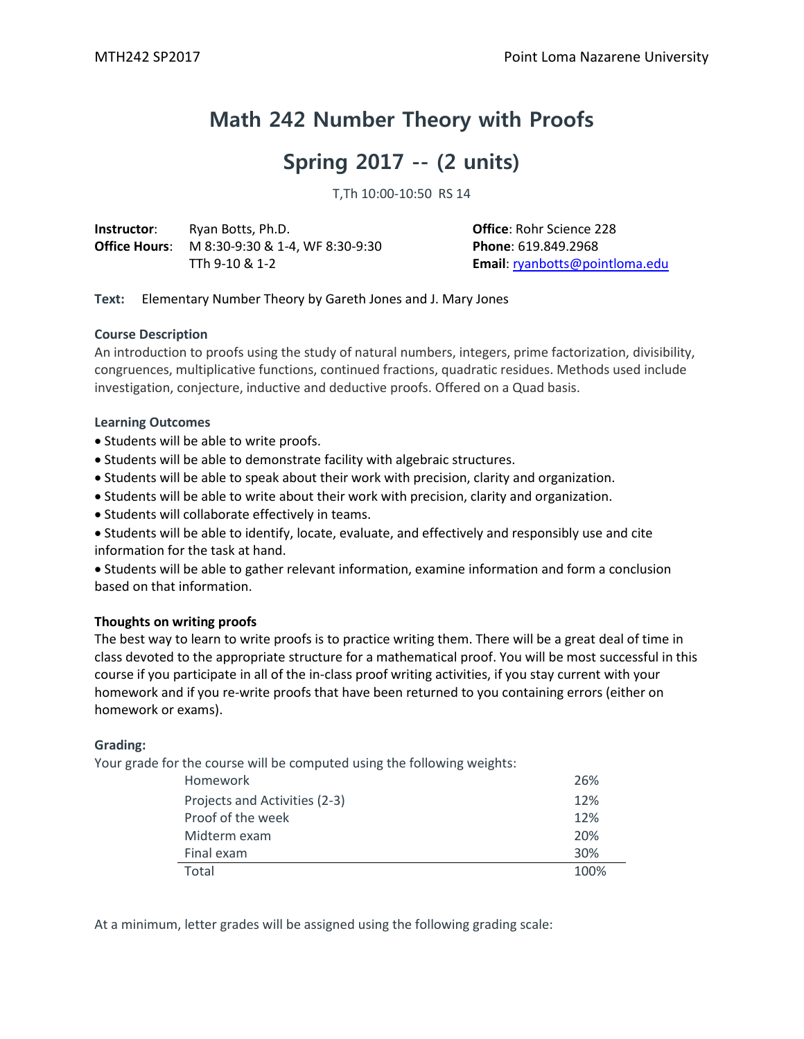# **Math 242 Number Theory with Proofs**

# **Spring 2017 -- (2 units)**

T,Th 10:00-10:50 RS 14

| Instructor: | Ryan Botts, Ph.D.                                    | <b>Office: Rohr Science 228</b> |
|-------------|------------------------------------------------------|---------------------------------|
|             | <b>Office Hours:</b> M 8:30-9:30 & 1-4. WF 8:30-9:30 | Phone: 619.849.2968             |
|             | TTh 9-10 & 1-2                                       | Email: ryanbotts@pointloma.edu  |

# **Text:** Elementary Number Theory by Gareth Jones and J. Mary Jones

# **Course Description**

An introduction to proofs using the study of natural numbers, integers, prime factorization, divisibility, congruences, multiplicative functions, continued fractions, quadratic residues. Methods used include investigation, conjecture, inductive and deductive proofs. Offered on a Quad basis.

## **Learning Outcomes**

- Students will be able to write proofs.
- Students will be able to demonstrate facility with algebraic structures.
- Students will be able to speak about their work with precision, clarity and organization.
- Students will be able to write about their work with precision, clarity and organization.
- Students will collaborate effectively in teams.
- Students will be able to identify, locate, evaluate, and effectively and responsibly use and cite information for the task at hand.

 Students will be able to gather relevant information, examine information and form a conclusion based on that information.

# **Thoughts on writing proofs**

The best way to learn to write proofs is to practice writing them. There will be a great deal of time in class devoted to the appropriate structure for a mathematical proof. You will be most successful in this course if you participate in all of the in-class proof writing activities, if you stay current with your homework and if you re-write proofs that have been returned to you containing errors (either on homework or exams).

#### **Grading:**

Your grade for the course will be computed using the following weights:

| Total                         | 100% |
|-------------------------------|------|
| Final exam                    | 30%  |
| Midterm exam                  | 20%  |
| Proof of the week             | 12%  |
| Projects and Activities (2-3) | 12%  |
| Homework                      | 26%  |

At a minimum, letter grades will be assigned using the following grading scale: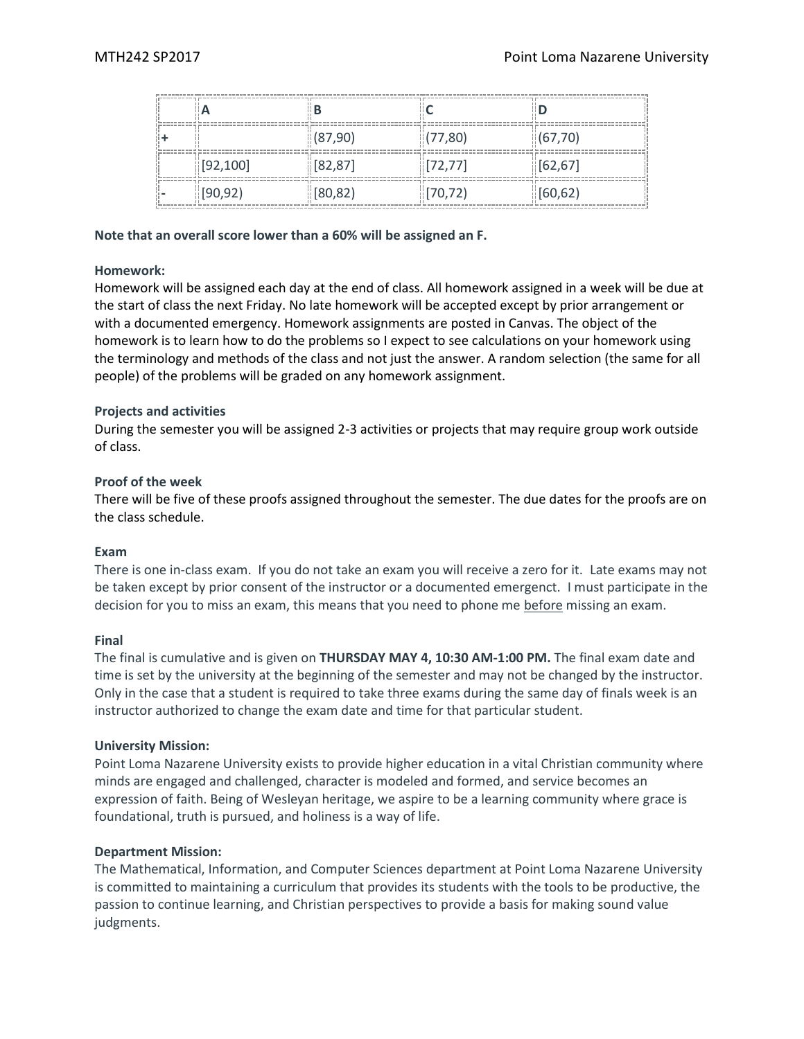| ÷Α       |          |                       |          |
|----------|----------|-----------------------|----------|
|          | (87,90)  | (77,80)               | (67,70)  |
| [92,100] | [82, 87] | $\left[72,77\right]$  | [62, 67] |
| [90, 92] | [80, 82) | $\frac{1}{2}$ [70,72) | (60, 62) |

**Note that an overall score lower than a 60% will be assigned an F.**

## **Homework:**

Homework will be assigned each day at the end of class. All homework assigned in a week will be due at the start of class the next Friday. No late homework will be accepted except by prior arrangement or with a documented emergency. Homework assignments are posted in Canvas. The object of the homework is to learn how to do the problems so I expect to see calculations on your homework using the terminology and methods of the class and not just the answer. A random selection (the same for all people) of the problems will be graded on any homework assignment.

# **Projects and activities**

During the semester you will be assigned 2-3 activities or projects that may require group work outside of class.

## **Proof of the week**

There will be five of these proofs assigned throughout the semester. The due dates for the proofs are on the class schedule.

#### **Exam**

There is one in-class exam. If you do not take an exam you will receive a zero for it. Late exams may not be taken except by prior consent of the instructor or a documented emergenct. I must participate in the decision for you to miss an exam, this means that you need to phone me before missing an exam.

#### **Final**

The final is cumulative and is given on **THURSDAY MAY 4, 10:30 AM-1:00 PM.** The final exam date and time is set by the university at the beginning of the semester and may not be changed by the instructor. Only in the case that a student is required to take three exams during the same day of finals week is an instructor authorized to change the exam date and time for that particular student.

#### **University Mission:**

Point Loma Nazarene University exists to provide higher education in a vital Christian community where minds are engaged and challenged, character is modeled and formed, and service becomes an expression of faith. Being of Wesleyan heritage, we aspire to be a learning community where grace is foundational, truth is pursued, and holiness is a way of life.

#### **Department Mission:**

The Mathematical, Information, and Computer Sciences department at Point Loma Nazarene University is committed to maintaining a curriculum that provides its students with the tools to be productive, the passion to continue learning, and Christian perspectives to provide a basis for making sound value judgments.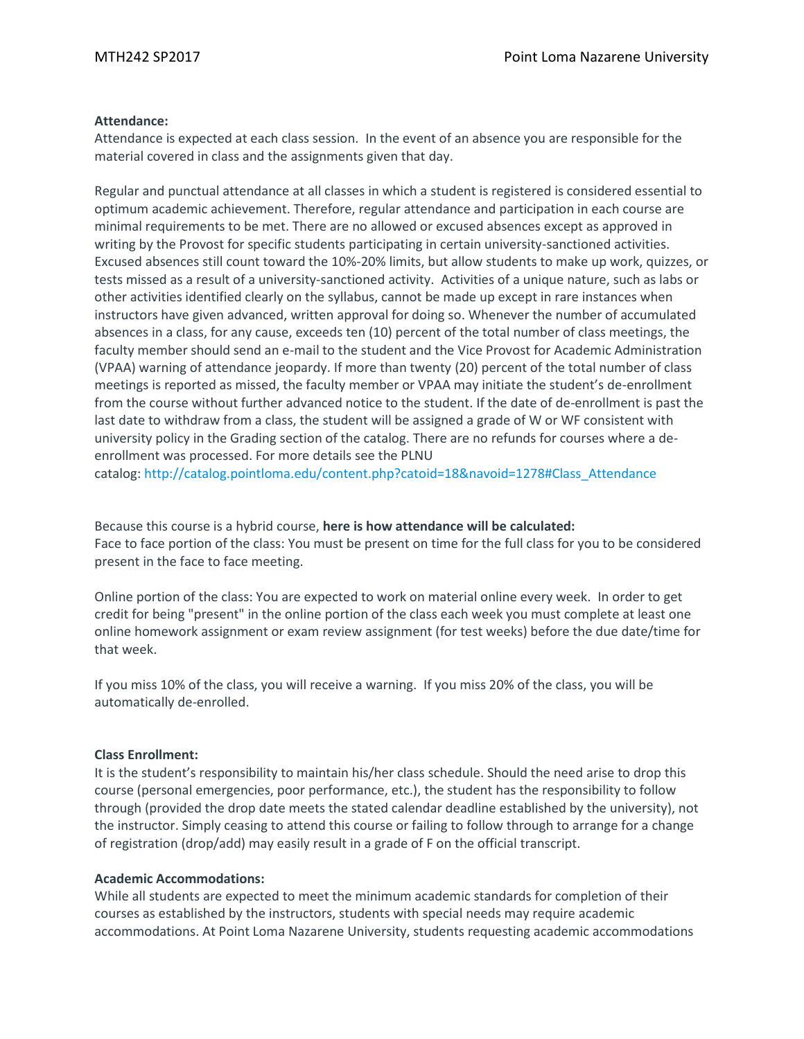## **Attendance:**

Attendance is expected at each class session. In the event of an absence you are responsible for the material covered in class and the assignments given that day.

Regular and punctual attendance at all classes in which a student is registered is considered essential to optimum academic achievement. Therefore, regular attendance and participation in each course are minimal requirements to be met. There are no allowed or excused absences except as approved in writing by the Provost for specific students participating in certain university-sanctioned activities. Excused absences still count toward the 10%-20% limits, but allow students to make up work, quizzes, or tests missed as a result of a university-sanctioned activity. Activities of a unique nature, such as labs or other activities identified clearly on the syllabus, cannot be made up except in rare instances when instructors have given advanced, written approval for doing so. Whenever the number of accumulated absences in a class, for any cause, exceeds ten (10) percent of the total number of class meetings, the faculty member should send an e-mail to the student and the Vice Provost for Academic Administration (VPAA) warning of attendance jeopardy. If more than twenty (20) percent of the total number of class meetings is reported as missed, the faculty member or VPAA may initiate the student's de-enrollment from the course without further advanced notice to the student. If the date of de-enrollment is past the last date to withdraw from a class, the student will be assigned a grade of W or WF consistent with university policy in the Grading section of the catalog. There are no refunds for courses where a deenrollment was processed. For more details see the PLNU

catalog: [http://catalog.pointloma.edu/content.php?catoid=18&navoid=1278#Class\\_Attendance](http://catalog.pointloma.edu/content.php?catoid=18&navoid=1278#Class_Attendance)

Because this course is a hybrid course, **here is how attendance will be calculated:** Face to face portion of the class: You must be present on time for the full class for you to be considered present in the face to face meeting.

Online portion of the class: You are expected to work on material online every week. In order to get credit for being "present" in the online portion of the class each week you must complete at least one online homework assignment or exam review assignment (for test weeks) before the due date/time for that week.

If you miss 10% of the class, you will receive a warning. If you miss 20% of the class, you will be automatically de-enrolled.

# **Class Enrollment:**

It is the student's responsibility to maintain his/her class schedule. Should the need arise to drop this course (personal emergencies, poor performance, etc.), the student has the responsibility to follow through (provided the drop date meets the stated calendar deadline established by the university), not the instructor. Simply ceasing to attend this course or failing to follow through to arrange for a change of registration (drop/add) may easily result in a grade of F on the official transcript.

# **Academic Accommodations:**

While all students are expected to meet the minimum academic standards for completion of their courses as established by the instructors, students with special needs may require academic accommodations. At Point Loma Nazarene University, students requesting academic accommodations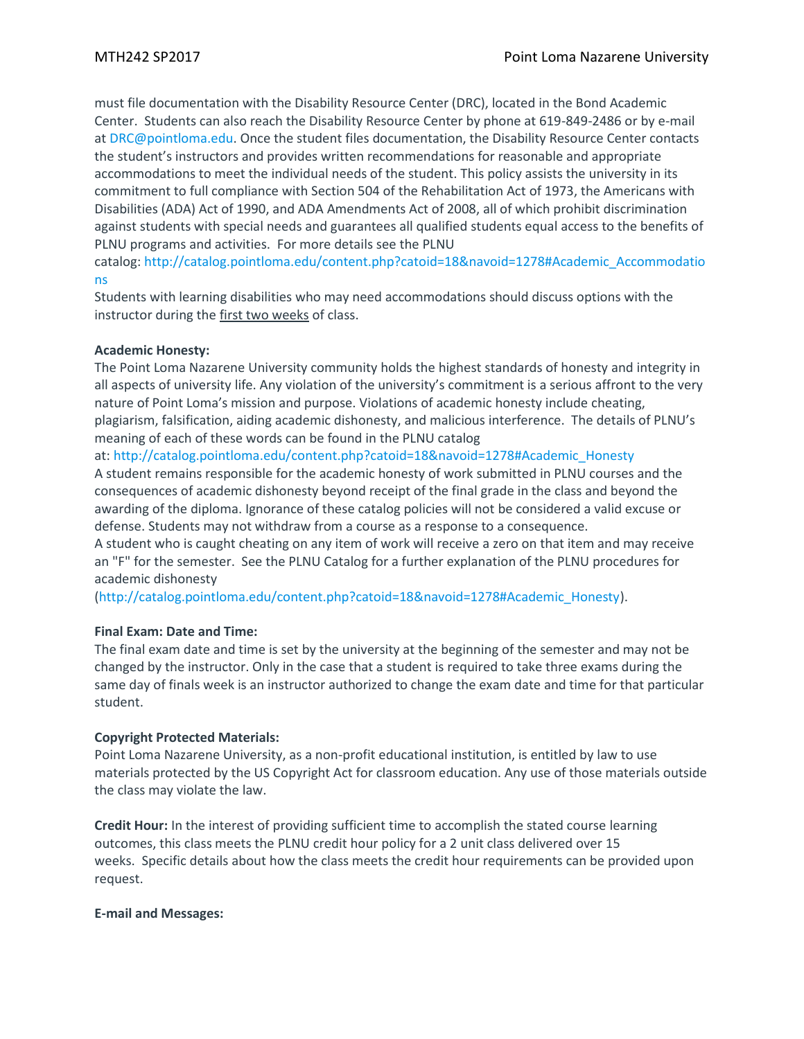must file documentation with the Disability Resource Center (DRC), located in the Bond Academic Center. Students can also reach the Disability Resource Center by phone at 619-849-2486 or by e-mail at [DRC@pointloma.edu.](mailto:DRC@pointloma.edu) Once the student files documentation, the Disability Resource Center contacts the student's instructors and provides written recommendations for reasonable and appropriate accommodations to meet the individual needs of the student. This policy assists the university in its commitment to full compliance with Section 504 of the Rehabilitation Act of 1973, the Americans with Disabilities (ADA) Act of 1990, and ADA Amendments Act of 2008, all of which prohibit discrimination against students with special needs and guarantees all qualified students equal access to the benefits of PLNU programs and activities. For more details see the PLNU

catalog: [http://catalog.pointloma.edu/content.php?catoid=18&navoid=1278#Academic\\_Accommodatio](http://catalog.pointloma.edu/content.php?catoid=18&navoid=1278#Academic_Accommodations) [ns](http://catalog.pointloma.edu/content.php?catoid=18&navoid=1278#Academic_Accommodations)

Students with learning disabilities who may need accommodations should discuss options with the instructor during the first two weeks of class.

## **Academic Honesty:**

The Point Loma Nazarene University community holds the highest standards of honesty and integrity in all aspects of university life. Any violation of the university's commitment is a serious affront to the very nature of Point Loma's mission and purpose. Violations of academic honesty include cheating, plagiarism, falsification, aiding academic dishonesty, and malicious interference. The details of PLNU's meaning of each of these words can be found in the PLNU catalog

#### at: [http://catalog.pointloma.edu/content.php?catoid=18&navoid=1278#Academic\\_Honesty](http://catalog.pointloma.edu/content.php?catoid=18&navoid=1278#Academic_Honesty)

A student remains responsible for the academic honesty of work submitted in PLNU courses and the consequences of academic dishonesty beyond receipt of the final grade in the class and beyond the awarding of the diploma. Ignorance of these catalog policies will not be considered a valid excuse or defense. Students may not withdraw from a course as a response to a consequence.

A student who is caught cheating on any item of work will receive a zero on that item and may receive an "F" for the semester. See the PLNU Catalog for a further explanation of the PLNU procedures for academic dishonesty

[\(http://catalog.pointloma.edu/content.php?catoid=18&navoid=1278#Academic\\_Honesty\)](http://catalog.pointloma.edu/content.php?catoid=18&navoid=1278#Academic_Honesty).

#### **Final Exam: Date and Time:**

The final exam date and time is set by the university at the beginning of the semester and may not be changed by the instructor. Only in the case that a student is required to take three exams during the same day of finals week is an instructor authorized to change the exam date and time for that particular student.

#### **Copyright Protected Materials:**

Point Loma Nazarene University, as a non-profit educational institution, is entitled by law to use materials protected by the US Copyright Act for classroom education. Any use of those materials outside the class may violate the law.

**Credit Hour:** In the interest of providing sufficient time to accomplish the stated course learning outcomes, this class meets the PLNU credit hour policy for a 2 unit class delivered over 15 weeks. Specific details about how the class meets the credit hour requirements can be provided upon request.

#### **E-mail and Messages:**